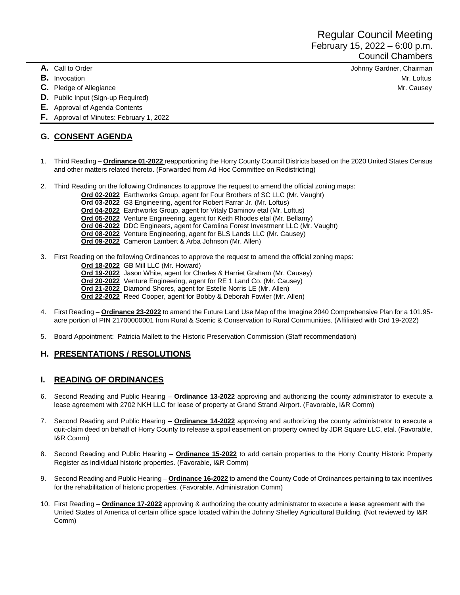- 
- 
- 
- **D.** Public Input (Sign-up Required)
- **E.** Approval of Agenda Contents
- **F.** Approval of Minutes: February 1, 2022

### **G. CONSENT AGENDA**

- 1. Third Reading **Ordinance 01-2022** reapportioning the Horry County Council Districts based on the 2020 United States Census and other matters related thereto. (Forwarded from Ad Hoc Committee on Redistricting)
- 2. Third Reading on the following Ordinances to approve the request to amend the official zoning maps:
	- **Ord 02-2022** Earthworks Group, agent for Four Brothers of SC LLC (Mr. Vaught)
		- **Ord 03-2022** G3 Engineering, agent for Robert Farrar Jr. (Mr. Loftus)
		- **Ord 04-2022** Earthworks Group, agent for Vitaly Daminov etal (Mr. Loftus)
		- **Ord 05-2022** Venture Engineering, agent for Keith Rhodes etal (Mr. Bellamy)
		- **Ord 06-2022** DDC Engineers, agent for Carolina Forest Investment LLC (Mr. Vaught)
		- **Ord 08-2022** Venture Engineering, agent for BLS Lands LLC (Mr. Causey)
		- **Ord 09-2022** Cameron Lambert & Arba Johnson (Mr. Allen)
- 3. First Reading on the following Ordinances to approve the request to amend the official zoning maps:
	- **Ord 18-2022** GB Mill LLC (Mr. Howard)
	- **Ord 19-2022** Jason White, agent for Charles & Harriet Graham (Mr. Causey)
	- **Ord 20-2022** Venture Engineering, agent for RE 1 Land Co. (Mr. Causey)
	- **Ord 21-2022** Diamond Shores, agent for Estelle Norris LE (Mr. Allen)
	- **Ord 22-2022** Reed Cooper, agent for Bobby & Deborah Fowler (Mr. Allen)
- 4. First Reading **Ordinance 23-2022** to amend the Future Land Use Map of the Imagine 2040 Comprehensive Plan for a 101.95 acre portion of PIN 21700000001 from Rural & Scenic & Conservation to Rural Communities. (Affiliated with Ord 19-2022)
- 5. Board Appointment: Patricia Mallett to the Historic Preservation Commission (Staff recommendation)

### **H. PRESENTATIONS / RESOLUTIONS**

### **I. READING OF ORDINANCES**

- 6. Second Reading and Public Hearing **Ordinance 13-2022** approving and authorizing the county administrator to execute a lease agreement with 2702 NKH LLC for lease of property at Grand Strand Airport. (Favorable, I&R Comm)
- 7. Second Reading and Public Hearing **Ordinance 14-2022** approving and authorizing the county administrator to execute a quit-claim deed on behalf of Horry County to release a spoil easement on property owned by JDR Square LLC, etal. (Favorable, I&R Comm)
- 8. Second Reading and Public Hearing **Ordinance 15-2022** to add certain properties to the Horry County Historic Property Register as individual historic properties. (Favorable, I&R Comm)
- 9. Second Reading and Public Hearing **Ordinance 16-2022** to amend the County Code of Ordinances pertaining to tax incentives for the rehabilitation of historic properties. (Favorable, Administration Comm)
- 10. First Reading **Ordinance 17-2022** approving & authorizing the county administrator to execute a lease agreement with the United States of America of certain office space located within the Johnny Shelley Agricultural Building. (Not reviewed by I&R Comm)

**A.** Call to Order Johnny Gardner, Chairman **B.** Invocation Mr. Loftus **C.** Pledge of Allegiance Mr. Causey